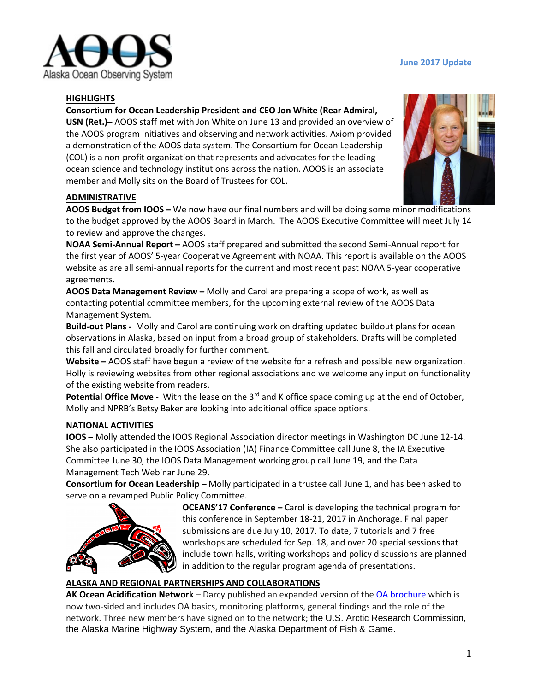

#### **June 2017 Update**

### **HIGHLIGHTS**

**Consortium for Ocean Leadership President and CEO Jon White (Rear Admiral,** 

**USN (Ret.)–** AOOS staff met with Jon White on June 13 and provided an overview of the AOOS program initiatives and observing and network activities. Axiom provided a demonstration of the AOOS data system. The Consortium for Ocean Leadership (COL) is a non-profit organization that represents and advocates for the leading ocean science and technology institutions across the nation. AOOS is an associate member and Molly sits on the Board of Trustees for COL.



### **ADMINISTRATIVE**

**AOOS Budget from IOOS –** We now have our final numbers and will be doing some minor modifications to the budget approved by the AOOS Board in March. The AOOS Executive Committee will meet July 14 to review and approve the changes.

**NOAA Semi-Annual Report –** AOOS staff prepared and submitted the second Semi-Annual report for the first year of AOOS' 5-year Cooperative Agreement with NOAA. This report is available on the AOOS website as are all semi-annual reports for the current and most recent past NOAA 5-year cooperative agreements.

**AOOS Data Management Review –** Molly and Carol are preparing a scope of work, as well as contacting potential committee members, for the upcoming external review of the AOOS Data Management System.

**Build-out Plans -** Molly and Carol are continuing work on drafting updated buildout plans for ocean observations in Alaska, based on input from a broad group of stakeholders. Drafts will be completed this fall and circulated broadly for further comment.

**Website –** AOOS staff have begun a review of the website for a refresh and possible new organization. Holly is reviewing websites from other regional associations and we welcome any input on functionality of the existing website from readers.

**Potential Office Move -** With the lease on the 3<sup>rd</sup> and K office space coming up at the end of October, Molly and NPRB's Betsy Baker are looking into additional office space options.

#### **NATIONAL ACTIVITIES**

**IOOS –** Molly attended the IOOS Regional Association director meetings in Washington DC June 12-14. She also participated in the IOOS Association (IA) Finance Committee call June 8, the IA Executive Committee June 30, the IOOS Data Management working group call June 19, and the Data Management Tech Webinar June 29.

**Consortium for Ocean Leadership –** Molly participated in a trustee call June 1, and has been asked to serve on a revamped Public Policy Committee.



**OCEANS'17 Conference –** Carol is developing the technical program for this conference in September 18-21, 2017 in Anchorage. Final paper submissions are due July 10, 2017. To date, 7 tutorials and 7 free workshops are scheduled for Sep. 18, and over 20 special sessions that include town halls, writing workshops and policy discussions are planned in addition to the regular program agenda of presentations.

### **ALASKA AND REGIONAL PARTNERSHIPS AND COLLABORATIONS**

**AK Ocean Acidification Network** – Darcy published an expanded version of th[e OA brochure](http://www.aoos.org/alaska-ocean-acidification-network/kachemak-bay-ramps-up-ocean-acidification-monitoring-efforts/?utm_source=Alaska+OA+Network&utm_campaign=aa3f06925a-OA+Network+June+e-news&utm_medium=email&utm_term=0_9a052aa7d8-aa3f06925a-1349) which is now two-sided and includes OA basics, monitoring platforms, general findings and the role of the network. Three new members have signed on to the network; the U.S. Arctic Research Commission, the Alaska Marine Highway System, and the Alaska Department of Fish & Game.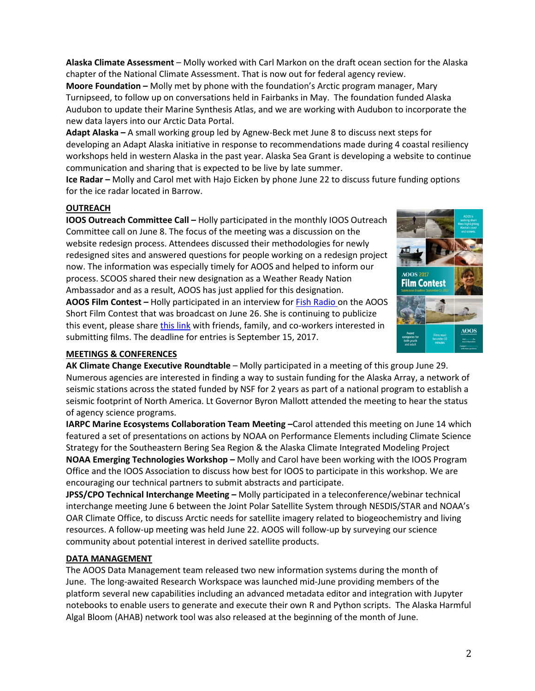**Alaska Climate Assessment** – Molly worked with Carl Markon on the draft ocean section for the Alaska chapter of the National Climate Assessment. That is now out for federal agency review.

**Moore Foundation –** Molly met by phone with the foundation's Arctic program manager, Mary Turnipseed, to follow up on conversations held in Fairbanks in May. The foundation funded Alaska Audubon to update their Marine Synthesis Atlas, and we are working with Audubon to incorporate the new data layers into our Arctic Data Portal.

**Adapt Alaska –** A small working group led by Agnew-Beck met June 8 to discuss next steps for developing an Adapt Alaska initiative in response to recommendations made during 4 coastal resiliency workshops held in western Alaska in the past year. Alaska Sea Grant is developing a website to continue communication and sharing that is expected to be live by late summer.

**Ice Radar –** Molly and Carol met with Hajo Eicken by phone June 22 to discuss future funding options for the ice radar located in Barrow.

# **OUTREACH**

**IOOS Outreach Committee Call –** Holly participated in the monthly IOOS Outreach Committee call on June 8. The focus of the meeting was a discussion on the website redesign process. Attendees discussed their methodologies for newly redesigned sites and answered questions for people working on a redesign project now. The information was especially timely for AOOS and helped to inform our process. SCOOS shared their new designation as a Weather Ready Nation Ambassador and as a result, AOOS has just applied for this designation.

**AOOS Film Contest –** Holly participated in an interview fo[r Fish Radio o](http://www.aoos.org/wp-content/uploads/2017/06/Fish-radio-interview-1.mp3)n the AOOS Short Film Contest that was broadcast on June 26. She is continuing to publicize this event, please shar[e this link](http://www.aoos.org/2015-aoos-film-contest-rules-and-submission-form/) with friends, family, and co-workers interested in submitting films. The deadline for entries is September 15, 2017.

# **MEETINGS & CONFERENCES**

**AK Climate Change Executive Roundtable** – Molly participated in a meeting of this group June 29. Numerous agencies are interested in finding a way to sustain funding for the Alaska Array, a network of seismic stations across the stated funded by NSF for 2 years as part of a national program to establish a seismic footprint of North America. Lt Governor Byron Mallott attended the meeting to hear the status of agency science programs.

**IARPC Marine Ecosystems Collaboration Team Meeting –**Carol attended this meeting on June 14 which featured a set of presentations on actions by NOAA on Performance Elements including Climate Science Strategy for the Southeastern Bering Sea Region & the Alaska Climate Integrated Modeling Project **NOAA Emerging Technologies Workshop –** Molly and Carol have been working with the IOOS Program Office and the IOOS Association to discuss how best for IOOS to participate in this workshop. We are encouraging our technical partners to submit abstracts and participate.

**JPSS/CPO Technical Interchange Meeting –** Molly participated in a teleconference/webinar technical interchange meeting June 6 between the Joint Polar Satellite System through NESDIS/STAR and NOAA's OAR Climate Office, to discuss Arctic needs for satellite imagery related to biogeochemistry and living resources. A follow-up meeting was held June 22. AOOS will follow-up by surveying our science community about potential interest in derived satellite products.

# **DATA MANAGEMENT**

The AOOS Data Management team released two new information systems during the month of June. The long-awaited Research Workspace was launched mid-June providing members of the platform several new capabilities including an advanced metadata editor and integration with Jupyter notebooks to enable users to generate and execute their own R and Python scripts. The Alaska Harmful Algal Bloom (AHAB) network tool was also released at the beginning of the month of June.